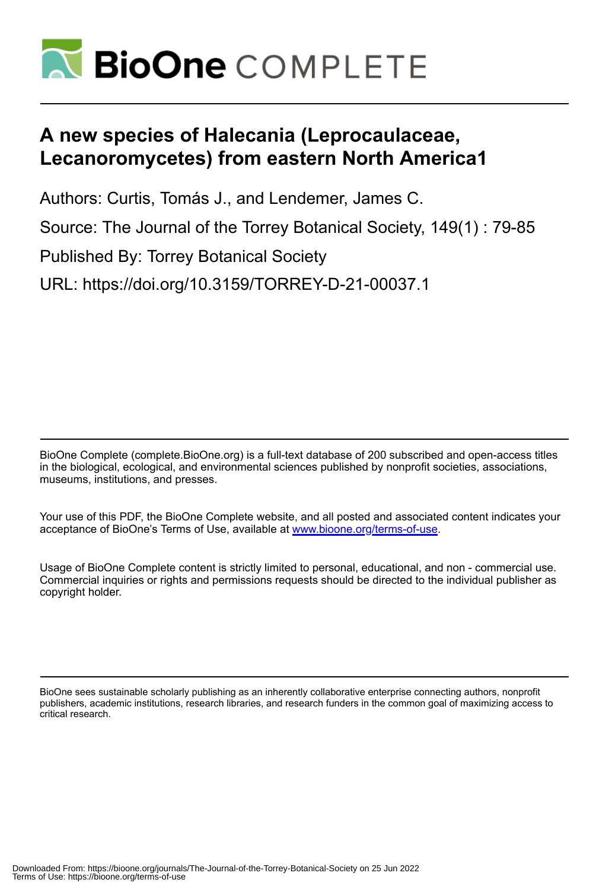

# **A new species of Halecania (Leprocaulaceae, Lecanoromycetes) from eastern North America1**

Authors: Curtis, Tomás J., and Lendemer, James C.

Source: The Journal of the Torrey Botanical Society, 149(1) : 79-85

Published By: Torrey Botanical Society

URL: https://doi.org/10.3159/TORREY-D-21-00037.1

BioOne Complete (complete.BioOne.org) is a full-text database of 200 subscribed and open-access titles in the biological, ecological, and environmental sciences published by nonprofit societies, associations, museums, institutions, and presses.

Your use of this PDF, the BioOne Complete website, and all posted and associated content indicates your acceptance of BioOne's Terms of Use, available at www.bioone.org/terms-of-use.

Usage of BioOne Complete content is strictly limited to personal, educational, and non - commercial use. Commercial inquiries or rights and permissions requests should be directed to the individual publisher as copyright holder.

BioOne sees sustainable scholarly publishing as an inherently collaborative enterprise connecting authors, nonprofit publishers, academic institutions, research libraries, and research funders in the common goal of maximizing access to critical research.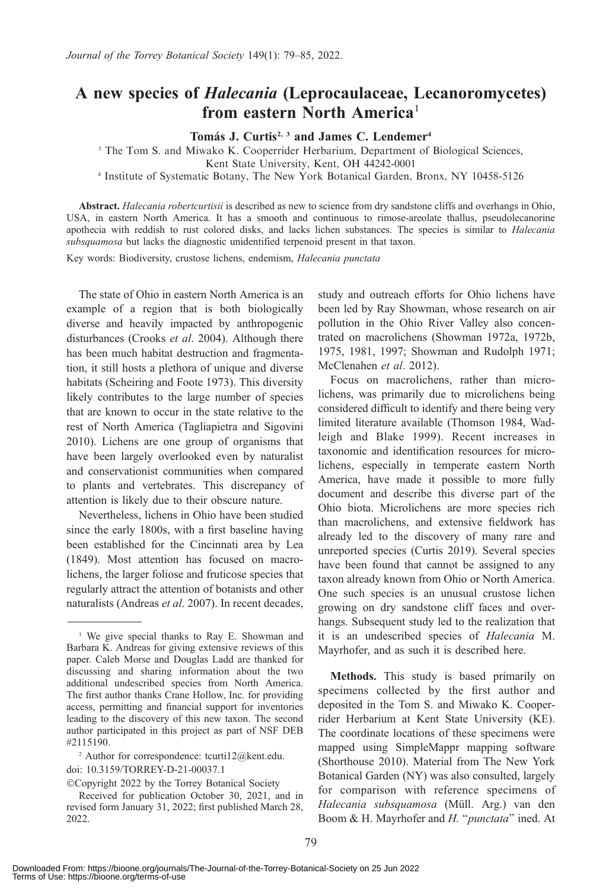## A new species of Halecania (Leprocaulaceae, Lecanoromycetes) from eastern North America<sup>1</sup>

### Tomás J. Curtis<sup>2, 3</sup> and James C. Lendemer<sup>4</sup>

<sup>3</sup> The Tom S. and Miwako K. Cooperrider Herbarium, Department of Biological Sciences,

Kent State University, Kent, OH 44242-0001

<sup>4</sup> Institute of Systematic Botany, The New York Botanical Garden, Bronx, NY 10458-5126

Abstract. Halecania robertcurtisii is described as new to science from dry sandstone cliffs and overhangs in Ohio, USA, in eastern North America. It has a smooth and continuous to rimose-areolate thallus, pseudolecanorine apothecia with reddish to rust colored disks, and lacks lichen substances. The species is similar to Halecania subsquamosa but lacks the diagnostic unidentified terpenoid present in that taxon.

Key words: Biodiversity, crustose lichens, endemism, Halecania punctata

The state of Ohio in eastern North America is an example of a region that is both biologically diverse and heavily impacted by anthropogenic disturbances (Crooks et al. 2004). Although there has been much habitat destruction and fragmentation, it still hosts a plethora of unique and diverse habitats (Scheiring and Foote 1973). This diversity likely contributes to the large number of species that are known to occur in the state relative to the rest of North America (Tagliapietra and Sigovini 2010). Lichens are one group of organisms that have been largely overlooked even by naturalist and conservationist communities when compared to plants and vertebrates. This discrepancy of attention is likely due to their obscure nature.

Nevertheless, lichens in Ohio have been studied since the early 1800s, with a first baseline having been established for the Cincinnati area by Lea (1849). Most attention has focused on macrolichens, the larger foliose and fruticose species that regularly attract the attention of botanists and other naturalists (Andreas et al. 2007). In recent decades, study and outreach efforts for Ohio lichens have been led by Ray Showman, whose research on air pollution in the Ohio River Valley also concentrated on macrolichens (Showman 1972a, 1972b, 1975, 1981, 1997; Showman and Rudolph 1971; McClenahen et al. 2012).

Focus on macrolichens, rather than microlichens, was primarily due to microlichens being considered difficult to identify and there being very limited literature available (Thomson 1984, Wadleigh and Blake 1999). Recent increases in taxonomic and identification resources for microlichens, especially in temperate eastern North America, have made it possible to more fully document and describe this diverse part of the Ohio biota. Microlichens are more species rich than macrolichens, and extensive fieldwork has already led to the discovery of many rare and unreported species (Curtis 2019). Several species have been found that cannot be assigned to any taxon already known from Ohio or North America. One such species is an unusual crustose lichen growing on dry sandstone cliff faces and overhangs. Subsequent study led to the realization that it is an undescribed species of Halecania M. Mayrhofer, and as such it is described here.

Methods. This study is based primarily on specimens collected by the first author and deposited in the Tom S. and Miwako K. Cooperrider Herbarium at Kent State University (KE). The coordinate locations of these specimens were mapped using SimpleMappr mapping software (Shorthouse 2010). Material from The New York Botanical Garden (NY) was also consulted, largely for comparison with reference specimens of Halecania subsquamosa (Müll. Arg.) van den Boom & H. Mayrhofer and H. "punctata" ined. At

<sup>&</sup>lt;sup>1</sup> We give special thanks to Ray E. Showman and Barbara K. Andreas for giving extensive reviews of this paper. Caleb Morse and Douglas Ladd are thanked for discussing and sharing information about the two additional undescribed species from North America. The first author thanks Crane Hollow, Inc. for providing access, permitting and financial support for inventories leading to the discovery of this new taxon. The second author participated in this project as part of NSF DEB #2115190.

<sup>&</sup>lt;sup>2</sup> Author for correspondence: tcurti $12@$ kent.edu.

doi: 10.3159/TORREY-D-21-00037.1

<sup>-</sup>Copyright 2022 by the Torrey Botanical Society

Received for publication October 30, 2021, and in revised form January 31, 2022; first published March 28, 2022.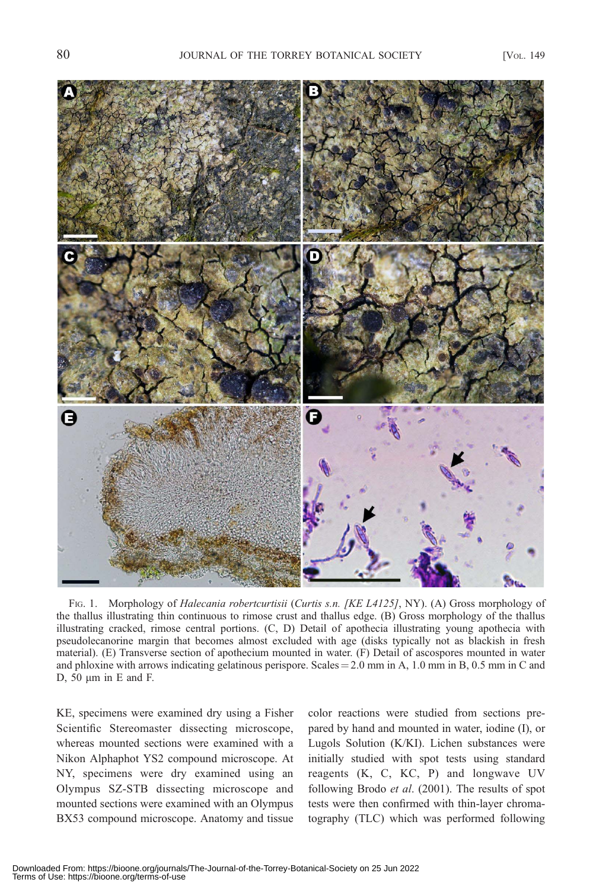

FIG. 1. Morphology of Halecania robertcurtisii (Curtis s.n. [KE L4125], NY). (A) Gross morphology of the thallus illustrating thin continuous to rimose crust and thallus edge. (B) Gross morphology of the thallus illustrating cracked, rimose central portions. (C, D) Detail of apothecia illustrating young apothecia with pseudolecanorine margin that becomes almost excluded with age (disks typically not as blackish in fresh material). (E) Transverse section of apothecium mounted in water. (F) Detail of ascospores mounted in water and phloxine with arrows indicating gelatinous perispore. Scales  $=$  2.0 mm in A, 1.0 mm in B, 0.5 mm in C and D,  $50 \mu m$  in E and F.

KE, specimens were examined dry using a Fisher Scientific Stereomaster dissecting microscope, whereas mounted sections were examined with a Nikon Alphaphot YS2 compound microscope. At NY, specimens were dry examined using an Olympus SZ-STB dissecting microscope and mounted sections were examined with an Olympus BX53 compound microscope. Anatomy and tissue

color reactions were studied from sections prepared by hand and mounted in water, iodine (I), or Lugols Solution (K/KI). Lichen substances were initially studied with spot tests using standard reagents (K, C, KC, P) and longwave UV following Brodo et al. (2001). The results of spot tests were then confirmed with thin-layer chromatography (TLC) which was performed following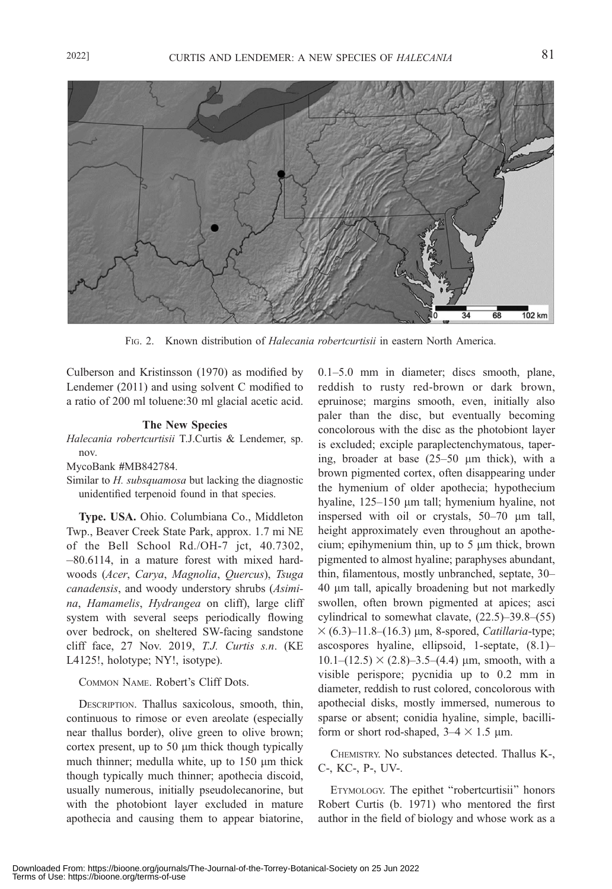![](_page_3_Figure_2.jpeg)

FIG. 2. Known distribution of Halecania robertcurtisii in eastern North America.

Culberson and Kristinsson (1970) as modified by Lendemer (2011) and using solvent C modified to a ratio of 200 ml toluene:30 ml glacial acetic acid.

#### The New Species

Halecania robertcurtisii T.J.Curtis & Lendemer, sp. nov.

Similar to H. subsquamosa but lacking the diagnostic unidentified terpenoid found in that species.

Type. USA. Ohio. Columbiana Co., Middleton Twp., Beaver Creek State Park, approx. 1.7 mi NE of the Bell School Rd./OH-7 jct, 40.7302, -80.6114, in a mature forest with mixed hardwoods (Acer, Carya, Magnolia, Quercus), Tsuga canadensis, and woody understory shrubs (Asimina, Hamamelis, Hydrangea on cliff), large cliff system with several seeps periodically flowing over bedrock, on sheltered SW-facing sandstone cliff face, 27 Nov. 2019, T.J. Curtis s.n. (KE L4125!, holotype; NY!, isotype).

#### COMMON NAME. Robert's Cliff Dots.

DESCRIPTION. Thallus saxicolous, smooth, thin, continuous to rimose or even areolate (especially near thallus border), olive green to olive brown; cortex present, up to  $50 \mu m$  thick though typically much thinner; medulla white, up to  $150 \mu m$  thick though typically much thinner; apothecia discoid, usually numerous, initially pseudolecanorine, but with the photobiont layer excluded in mature apothecia and causing them to appear biatorine, 0.1–5.0 mm in diameter; discs smooth, plane, reddish to rusty red-brown or dark brown, epruinose; margins smooth, even, initially also paler than the disc, but eventually becoming concolorous with the disc as the photobiont layer is excluded; exciple paraplectenchymatous, tapering, broader at base  $(25-50 \mu m)$  thick), with a brown pigmented cortex, often disappearing under the hymenium of older apothecia; hypothecium hyaline, 125–150 µm tall; hymenium hyaline, not inspersed with oil or crystals, 50–70 µm tall, height approximately even throughout an apothecium; epihymenium thin, up to  $5 \mu m$  thick, brown pigmented to almost hyaline; paraphyses abundant, thin, filamentous, mostly unbranched, septate, 30– 40 lm tall, apically broadening but not markedly swollen, often brown pigmented at apices; asci cylindrical to somewhat clavate, (22.5)–39.8–(55)  $\times$  (6.3)–11.8–(16.3) µm, 8-spored, Catillaria-type; ascospores hyaline, ellipsoid, 1-septate, (8.1)–  $10.1-(12.5) \times (2.8)$ –3.5–(4.4) µm, smooth, with a visible perispore; pycnidia up to 0.2 mm in diameter, reddish to rust colored, concolorous with apothecial disks, mostly immersed, numerous to sparse or absent; conidia hyaline, simple, bacilliform or short rod-shaped,  $3-4 \times 1.5$  µm.

CHEMISTRY. No substances detected. Thallus K-, C-, KC-, P-, UV-.

ETYMOLOGY. The epithet ''robertcurtisii'' honors Robert Curtis (b. 1971) who mentored the first author in the field of biology and whose work as a

MycoBank #MB842784.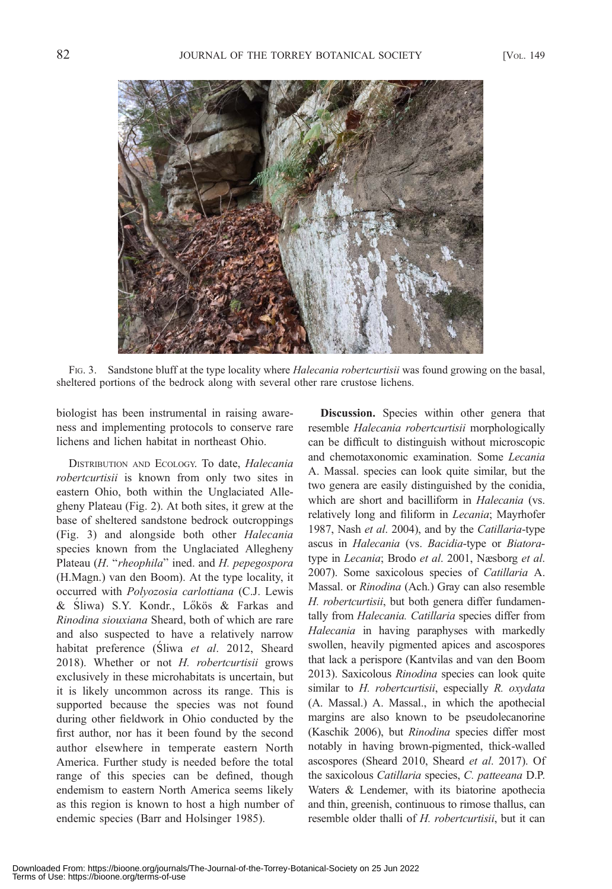![](_page_4_Picture_3.jpeg)

FIG. 3. Sandstone bluff at the type locality where *Halecania robertcurtisii* was found growing on the basal, sheltered portions of the bedrock along with several other rare crustose lichens.

biologist has been instrumental in raising awareness and implementing protocols to conserve rare lichens and lichen habitat in northeast Ohio.

DISTRIBUTION AND ECOLOGY. To date, *Halecania* robertcurtisii is known from only two sites in eastern Ohio, both within the Unglaciated Allegheny Plateau (Fig. 2). At both sites, it grew at the base of sheltered sandstone bedrock outcroppings (Fig. 3) and alongside both other Halecania species known from the Unglaciated Allegheny Plateau (H. "rheophila" ined. and H. pepegospora (H.Magn.) van den Boom). At the type locality, it occurred with Polyozosia carlottiana (C.J. Lewis & Sliwa) S.Y. Kondr., Lőkös & Farkas and Rinodina siouxiana Sheard, both of which are rare and also suspected to have a relatively narrow habitat preference (Sliwa et al. 2012, Sheard 2018). Whether or not H. robertcurtisii grows exclusively in these microhabitats is uncertain, but it is likely uncommon across its range. This is supported because the species was not found during other fieldwork in Ohio conducted by the first author, nor has it been found by the second author elsewhere in temperate eastern North America. Further study is needed before the total range of this species can be defined, though endemism to eastern North America seems likely as this region is known to host a high number of endemic species (Barr and Holsinger 1985).

Discussion. Species within other genera that resemble Halecania robertcurtisii morphologically can be difficult to distinguish without microscopic and chemotaxonomic examination. Some Lecania A. Massal. species can look quite similar, but the two genera are easily distinguished by the conidia, which are short and bacilliform in *Halecania* (vs. relatively long and filiform in Lecania; Mayrhofer 1987, Nash et al. 2004), and by the Catillaria-type ascus in Halecania (vs. Bacidia-type or Biatoratype in Lecania; Brodo et al. 2001, Næsborg et al. 2007). Some saxicolous species of Catillaria A. Massal. or Rinodina (Ach.) Gray can also resemble H. robertcurtisii, but both genera differ fundamentally from Halecania. Catillaria species differ from Halecania in having paraphyses with markedly swollen, heavily pigmented apices and ascospores that lack a perispore (Kantvilas and van den Boom 2013). Saxicolous Rinodina species can look quite similar to H. robertcurtisii, especially R. oxydata (A. Massal.) A. Massal., in which the apothecial margins are also known to be pseudolecanorine (Kaschik 2006), but Rinodina species differ most notably in having brown-pigmented, thick-walled ascospores (Sheard 2010, Sheard et al. 2017). Of the saxicolous Catillaria species, C. patteeana D.P. Waters & Lendemer, with its biatorine apothecia and thin, greenish, continuous to rimose thallus, can resemble older thalli of H. robertcurtisii, but it can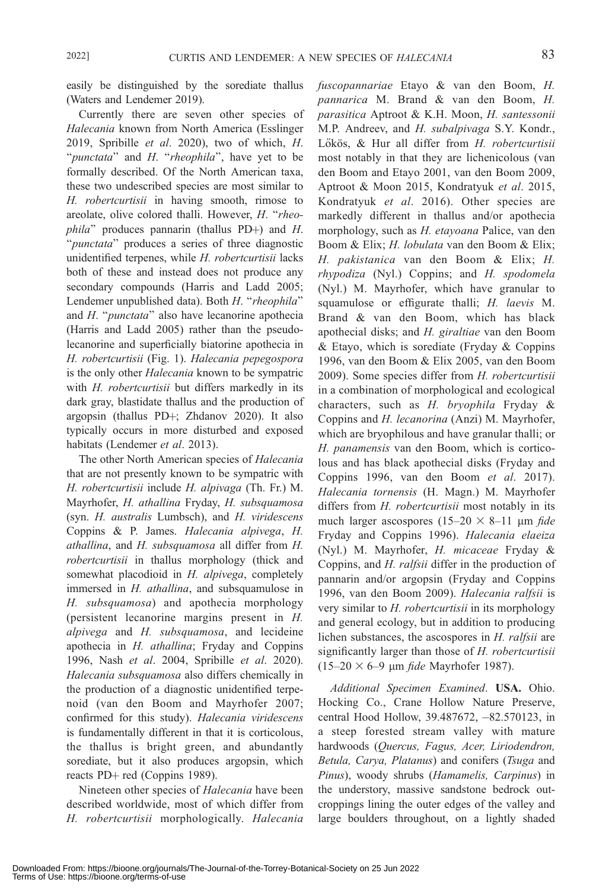easily be distinguished by the sorediate thallus (Waters and Lendemer 2019).

Currently there are seven other species of Halecania known from North America (Esslinger 2019, Spribille et al. 2020), two of which, H. "punctata" and H. "rheophila", have yet to be formally described. Of the North American taxa, these two undescribed species are most similar to H. robertcurtisii in having smooth, rimose to areolate, olive colored thalli. However, H. ''rheo $phila$ " produces pannarin (thallus PD+) and H. "*punctata*" produces a series of three diagnostic unidentified terpenes, while H. robertcurtisii lacks both of these and instead does not produce any secondary compounds (Harris and Ladd 2005; Lendemer unpublished data). Both H. "rheophila" and  $H$ . "punctata" also have lecanorine apothecia (Harris and Ladd 2005) rather than the pseudolecanorine and superficially biatorine apothecia in H. robertcurtisii (Fig. 1). Halecania pepegospora is the only other *Halecania* known to be sympatric with H. robertcurtisii but differs markedly in its dark gray, blastidate thallus and the production of argopsin (thallus PD+; Zhdanov 2020). It also typically occurs in more disturbed and exposed habitats (Lendemer et al. 2013).

The other North American species of Halecania that are not presently known to be sympatric with H. robertcurtisii include H. alpivaga (Th. Fr.) M. Mayrhofer, H. athallina Fryday, H. subsquamosa (syn. H. australis Lumbsch), and H. viridescens Coppins & P. James. Halecania alpivega, H. athallina, and H. subsquamosa all differ from H. robertcurtisii in thallus morphology (thick and somewhat placodioid in H. alpivega, completely immersed in *H. athallina*, and subsquamulose in H. subsquamosa) and apothecia morphology (persistent lecanorine margins present in H. alpivega and H. subsquamosa, and lecideine apothecia in H. athallina; Fryday and Coppins 1996, Nash et al. 2004, Spribille et al. 2020). Halecania subsquamosa also differs chemically in the production of a diagnostic unidentified terpenoid (van den Boom and Mayrhofer 2007; confirmed for this study). Halecania viridescens is fundamentally different in that it is corticolous, the thallus is bright green, and abundantly sorediate, but it also produces argopsin, which reacts PD+ red (Coppins 1989).

Nineteen other species of Halecania have been described worldwide, most of which differ from H. robertcurtisii morphologically. Halecania fuscopannariae Etayo & van den Boom, H. pannarica M. Brand & van den Boom, H. parasitica Aptroot & K.H. Moon, H. santessonii M.P. Andreev, and H. subalpivaga S.Y. Kondr., Lőkös, & Hur all differ from H. robertcurtisii most notably in that they are lichenicolous (van den Boom and Etayo 2001, van den Boom 2009, Aptroot & Moon 2015, Kondratyuk et al. 2015, Kondratyuk et al. 2016). Other species are markedly different in thallus and/or apothecia morphology, such as H. etayoana Palice, van den Boom & Elix; H. lobulata van den Boom & Elix; H. pakistanica van den Boom & Elix; H. rhypodiza (Nyl.) Coppins; and H. spodomela (Nyl.) M. Mayrhofer, which have granular to squamulose or effigurate thalli; H. laevis M. Brand & van den Boom, which has black apothecial disks; and H. giraltiae van den Boom  $& Etayo, which is a sorted state (Fryday & Coppins)$ 1996, van den Boom & Elix 2005, van den Boom 2009). Some species differ from H. robertcurtisii in a combination of morphological and ecological characters, such as H. bryophila Fryday & Coppins and H. lecanorina (Anzi) M. Mayrhofer, which are bryophilous and have granular thalli; or H. panamensis van den Boom, which is corticolous and has black apothecial disks (Fryday and Coppins 1996, van den Boom et al. 2017). Halecania tornensis (H. Magn.) M. Mayrhofer differs from H. robertcurtisii most notably in its much larger ascospores  $(15-20 \times 8-11 \text{ }\mu\text{m }$  fide Fryday and Coppins 1996). Halecania elaeiza (Nyl.) M. Mayrhofer, H. micaceae Fryday & Coppins, and H. ralfsii differ in the production of pannarin and/or argopsin (Fryday and Coppins 1996, van den Boom 2009). Halecania ralfsii is very similar to *H. robertcurtisii* in its morphology and general ecology, but in addition to producing lichen substances, the ascospores in H. ralfsii are significantly larger than those of H. robertcurtisii  $(15–20 \times 6–9 \mu m$  *fide* Mayrhofer 1987).

Additional Specimen Examined. USA. Ohio. Hocking Co., Crane Hollow Nature Preserve, central Hood Hollow, 39.487672, -82.570123, in a steep forested stream valley with mature hardwoods (Quercus, Fagus, Acer, Liriodendron, Betula, Carya, Platanus) and conifers (Tsuga and Pinus), woody shrubs (Hamamelis, Carpinus) in the understory, massive sandstone bedrock outcroppings lining the outer edges of the valley and large boulders throughout, on a lightly shaded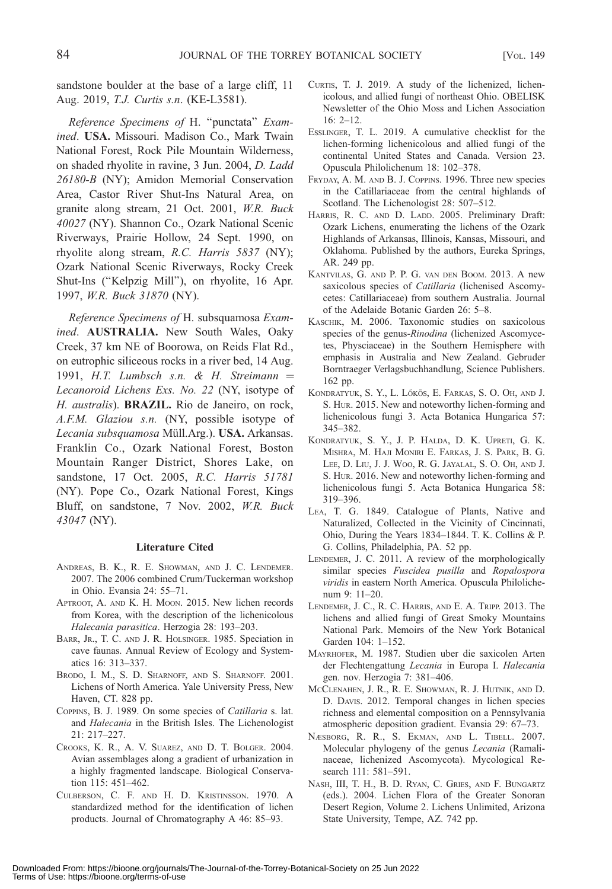sandstone boulder at the base of a large cliff, 11 Aug. 2019, T.J. Curtis s.n. (KE-L3581).

Reference Specimens of H. ''punctata'' Examined. USA. Missouri. Madison Co., Mark Twain National Forest, Rock Pile Mountain Wilderness, on shaded rhyolite in ravine, 3 Jun. 2004, D. Ladd 26180-B (NY); Amidon Memorial Conservation Area, Castor River Shut-Ins Natural Area, on granite along stream, 21 Oct. 2001, W.R. Buck 40027 (NY). Shannon Co., Ozark National Scenic Riverways, Prairie Hollow, 24 Sept. 1990, on rhyolite along stream, R.C. Harris 5837 (NY); Ozark National Scenic Riverways, Rocky Creek Shut-Ins (''Kelpzig Mill''), on rhyolite, 16 Apr. 1997, W.R. Buck 31870 (NY).

Reference Specimens of H. subsquamosa Examined. AUSTRALIA. New South Wales, Oaky Creek, 37 km NE of Boorowa, on Reids Flat Rd., on eutrophic siliceous rocks in a river bed, 14 Aug. 1991, H.T. Lumbsch s.n. & H. Streimann  $=$ Lecanoroid Lichens Exs. No. 22 (NY, isotype of H. australis). BRAZIL. Rio de Janeiro, on rock, A.F.M. Glaziou s.n. (NY, possible isotype of Lecania subsquamosa Müll.Arg.). USA. Arkansas. Franklin Co., Ozark National Forest, Boston Mountain Ranger District, Shores Lake, on sandstone, 17 Oct. 2005, R.C. Harris 51781 (NY). Pope Co., Ozark National Forest, Kings Bluff, on sandstone, 7 Nov. 2002, W.R. Buck 43047 (NY).

#### Literature Cited

- ANDREAS, B. K., R. E. SHOWMAN, AND J. C. LENDEMER. 2007. The 2006 combined Crum/Tuckerman workshop in Ohio. Evansia 24: 55–71.
- APTROOT, A. AND K. H. MOON. 2015. New lichen records from Korea, with the description of the lichenicolous Halecania parasitica. Herzogia 28: 193–203.
- BARR, JR., T. C. AND J. R. HOLSINGER. 1985. Speciation in cave faunas. Annual Review of Ecology and Systematics 16: 313–337.
- BRODO, I. M., S. D. SHARNOFF, AND S. SHARNOFF. 2001. Lichens of North America. Yale University Press, New Haven, CT. 828 pp.
- COPPINS, B. J. 1989. On some species of Catillaria s. lat. and Halecania in the British Isles. The Lichenologist 21: 217–227.
- CROOKS, K. R., A. V. SUAREZ, AND D. T. BOLGER. 2004. Avian assemblages along a gradient of urbanization in a highly fragmented landscape. Biological Conservation 115: 451–462.
- CULBERSON, C. F. AND H. D. KRISTINSSON. 1970. A standardized method for the identification of lichen products. Journal of Chromatography A 46: 85–93.
- CURTIS, T. J. 2019. A study of the lichenized, lichenicolous, and allied fungi of northeast Ohio. OBELISK Newsletter of the Ohio Moss and Lichen Association  $16: 2 - 12$
- ESSLINGER, T. L. 2019. A cumulative checklist for the lichen-forming lichenicolous and allied fungi of the continental United States and Canada. Version 23. Opuscula Philolichenum 18: 102–378.
- FRYDAY, A. M. AND B. J. COPPINS. 1996. Three new species in the Catillariaceae from the central highlands of Scotland. The Lichenologist 28: 507–512.
- HARRIS, R. C. AND D. LADD. 2005. Preliminary Draft: Ozark Lichens, enumerating the lichens of the Ozark Highlands of Arkansas, Illinois, Kansas, Missouri, and Oklahoma. Published by the authors, Eureka Springs, AR. 249 pp.
- KANTVILAS, G. AND P. P. G. VAN DEN BOOM. 2013. A new saxicolous species of Catillaria (lichenised Ascomycetes: Catillariaceae) from southern Australia. Journal of the Adelaide Botanic Garden 26: 5–8.
- KASCHIK, M. 2006. Taxonomic studies on saxicolous species of the genus-Rinodina (lichenized Ascomycetes, Physciaceae) in the Southern Hemisphere with emphasis in Australia and New Zealand. Gebruder Borntraeger Verlagsbuchhandlung, Science Publishers. 162 pp.
- KONDRATYUK, S. Y., L. LŐKÖS, E. FARKAS, S. O. OH, AND J. S. HUR. 2015. New and noteworthy lichen-forming and lichenicolous fungi 3. Acta Botanica Hungarica 57: 345–382.
- KONDRATYUK, S. Y., J. P. HALDA, D. K. UPRETI, G. K. MISHRA, M. HAJI MONIRI E. FARKAS, J. S. PARK, B. G. LEE, D. LIU, J. J. WOO, R. G. JAYALAL, S. O. OH, AND J. S. HUR. 2016. New and noteworthy lichen-forming and lichenicolous fungi 5. Acta Botanica Hungarica 58: 319–396.
- LEA, T. G. 1849. Catalogue of Plants, Native and Naturalized, Collected in the Vicinity of Cincinnati, Ohio, During the Years 1834–1844. T. K. Collins & P. G. Collins, Philadelphia, PA. 52 pp.
- LENDEMER, J. C. 2011. A review of the morphologically similar species Fuscidea pusilla and Ropalospora viridis in eastern North America. Opuscula Philolichenum 9: 11–20.
- LENDEMER, J. C., R. C. HARRIS, AND E. A. TRIPP. 2013. The lichens and allied fungi of Great Smoky Mountains National Park. Memoirs of the New York Botanical Garden 104: 1–152.
- MAYRHOFER, M. 1987. Studien uber die saxicolen Arten der Flechtengattung Lecania in Europa I. Halecania gen. nov. Herzogia 7: 381–406.
- MCCLENAHEN, J. R., R. E. SHOWMAN, R. J. HUTNIK, AND D. D. DAVIS. 2012. Temporal changes in lichen species richness and elemental composition on a Pennsylvania atmospheric deposition gradient. Evansia 29: 67–73.
- NÆSBORG, R. R., S. EKMAN, AND L. TIBELL. 2007. Molecular phylogeny of the genus Lecania (Ramalinaceae, lichenized Ascomycota). Mycological Research 111: 581–591.
- NASH, III, T. H., B. D. RYAN, C. GRIES, AND F. BUNGARTZ (eds.). 2004. Lichen Flora of the Greater Sonoran Desert Region, Volume 2. Lichens Unlimited, Arizona State University, Tempe, AZ. 742 pp.